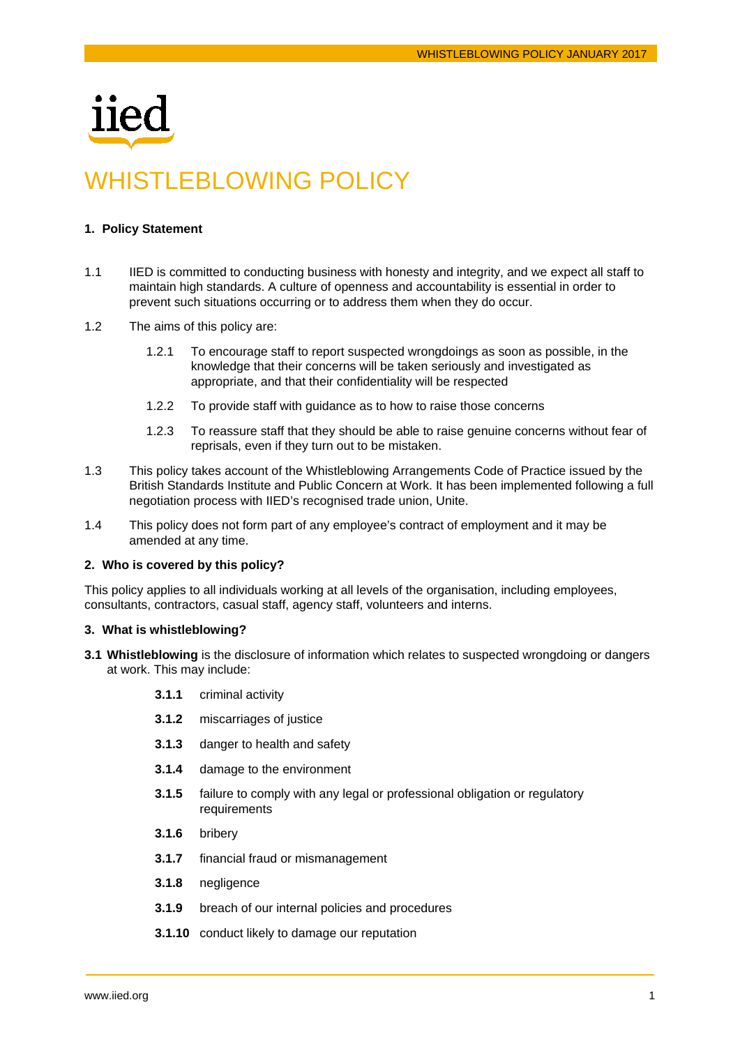

# WHISTLEBLOWING POLICY

# **1. Policy Statement**

- 1.1 IIED is committed to conducting business with honesty and integrity, and we expect all staff to maintain high standards. A culture of openness and accountability is essential in order to prevent such situations occurring or to address them when they do occur.
- 1.2 The aims of this policy are:
	- 1.2.1 To encourage staff to report suspected wrongdoings as soon as possible, in the knowledge that their concerns will be taken seriously and investigated as appropriate, and that their confidentiality will be respected
	- 1.2.2 To provide staff with guidance as to how to raise those concerns
	- 1.2.3 To reassure staff that they should be able to raise genuine concerns without fear of reprisals, even if they turn out to be mistaken.
- 1.3 This policy takes account of the Whistleblowing Arrangements Code of Practice issued by the British Standards Institute and Public Concern at Work. It has been implemented following a full negotiation process with IIED's recognised trade union, Unite.
- 1.4 This policy does not form part of any employee's contract of employment and it may be amended at any time.

## **2. Who is covered by this policy?**

This policy applies to all individuals working at all levels of the organisation, including employees, consultants, contractors, casual staff, agency staff, volunteers and interns.

## **3. What is whistleblowing?**

- **3.1 Whistleblowing** is the disclosure of information which relates to suspected wrongdoing or dangers at work. This may include:
	- **3.1.1** criminal activity
	- **3.1.2** miscarriages of justice
	- **3.1.3** danger to health and safety
	- **3.1.4** damage to the environment
	- **3.1.5** failure to comply with any legal or professional obligation or regulatory requirements
	- **3.1.6** bribery
	- **3.1.7** financial fraud or mismanagement
	- **3.1.8** negligence
	- **3.1.9** breach of our internal policies and procedures
	- **3.1.10** conduct likely to damage our reputation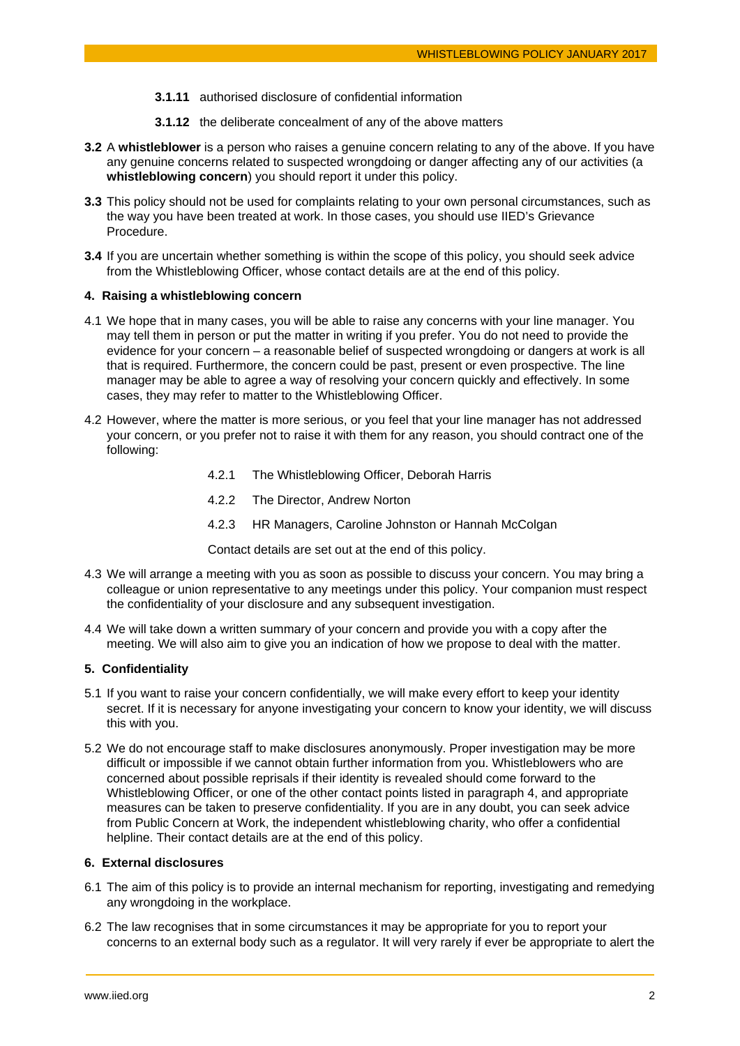- **3.1.11** authorised disclosure of confidential information
- **3.1.12** the deliberate concealment of any of the above matters
- **3.2** A **whistleblower** is a person who raises a genuine concern relating to any of the above. If you have any genuine concerns related to suspected wrongdoing or danger affecting any of our activities (a **whistleblowing concern**) you should report it under this policy.
- **3.3** This policy should not be used for complaints relating to your own personal circumstances, such as the way you have been treated at work. In those cases, you should use IIED's Grievance Procedure.
- **3.4** If you are uncertain whether something is within the scope of this policy, you should seek advice from the Whistleblowing Officer, whose contact details are at the end of this policy.

## **4. Raising a whistleblowing concern**

- 4.1 We hope that in many cases, you will be able to raise any concerns with your line manager. You may tell them in person or put the matter in writing if you prefer. You do not need to provide the evidence for your concern – a reasonable belief of suspected wrongdoing or dangers at work is all that is required. Furthermore, the concern could be past, present or even prospective. The line manager may be able to agree a way of resolving your concern quickly and effectively. In some cases, they may refer to matter to the Whistleblowing Officer.
- 4.2 However, where the matter is more serious, or you feel that your line manager has not addressed your concern, or you prefer not to raise it with them for any reason, you should contract one of the following:
	- 4.2.1 The Whistleblowing Officer, Deborah Harris
	- 4.2.2 The Director, Andrew Norton
	- 4.2.3 HR Managers, Caroline Johnston or Hannah McColgan

Contact details are set out at the end of this policy.

- 4.3 We will arrange a meeting with you as soon as possible to discuss your concern. You may bring a colleague or union representative to any meetings under this policy. Your companion must respect the confidentiality of your disclosure and any subsequent investigation.
- 4.4 We will take down a written summary of your concern and provide you with a copy after the meeting. We will also aim to give you an indication of how we propose to deal with the matter.

## **5. Confidentiality**

- 5.1 If you want to raise your concern confidentially, we will make every effort to keep your identity secret. If it is necessary for anyone investigating your concern to know your identity, we will discuss this with you.
- 5.2 We do not encourage staff to make disclosures anonymously. Proper investigation may be more difficult or impossible if we cannot obtain further information from you. Whistleblowers who are concerned about possible reprisals if their identity is revealed should come forward to the Whistleblowing Officer, or one of the other contact points listed in paragraph 4, and appropriate measures can be taken to preserve confidentiality. If you are in any doubt, you can seek advice from Public Concern at Work, the independent whistleblowing charity, who offer a confidential helpline. Their contact details are at the end of this policy.

# **6. External disclosures**

- 6.1 The aim of this policy is to provide an internal mechanism for reporting, investigating and remedying any wrongdoing in the workplace.
- 6.2 The law recognises that in some circumstances it may be appropriate for you to report your concerns to an external body such as a regulator. It will very rarely if ever be appropriate to alert the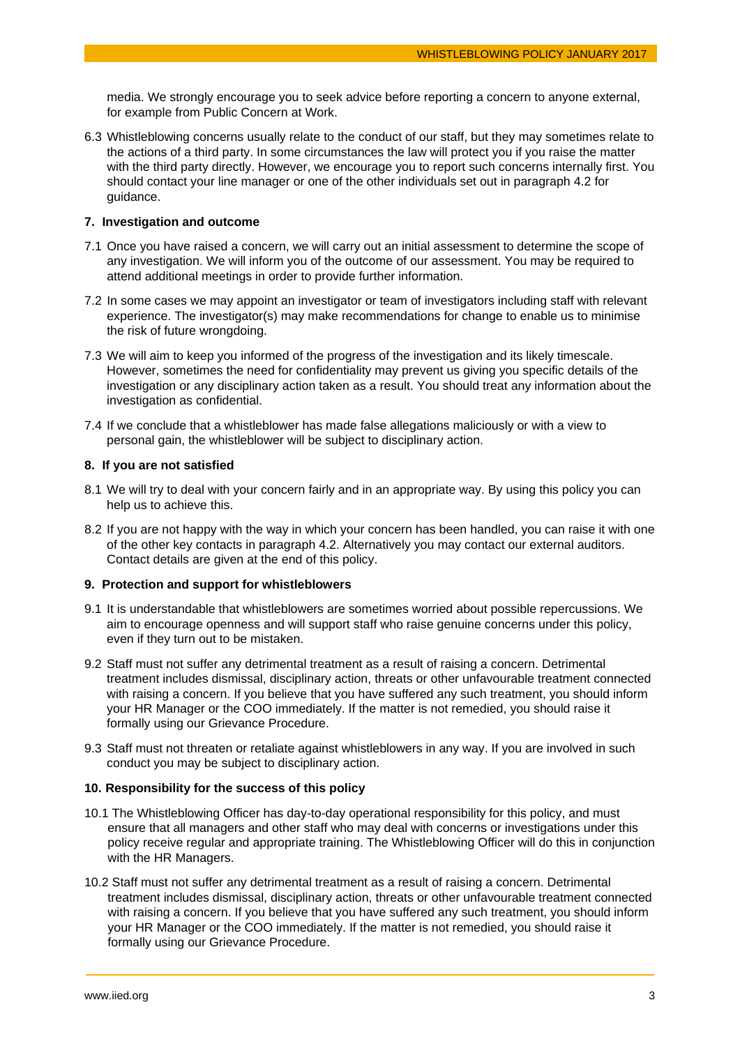media. We strongly encourage you to seek advice before reporting a concern to anyone external, for example from Public Concern at Work.

6.3 Whistleblowing concerns usually relate to the conduct of our staff, but they may sometimes relate to the actions of a third party. In some circumstances the law will protect you if you raise the matter with the third party directly. However, we encourage you to report such concerns internally first. You should contact your line manager or one of the other individuals set out in paragraph 4.2 for guidance.

# **7. Investigation and outcome**

- 7.1 Once you have raised a concern, we will carry out an initial assessment to determine the scope of any investigation. We will inform you of the outcome of our assessment. You may be required to attend additional meetings in order to provide further information.
- 7.2 In some cases we may appoint an investigator or team of investigators including staff with relevant experience. The investigator(s) may make recommendations for change to enable us to minimise the risk of future wrongdoing.
- 7.3 We will aim to keep you informed of the progress of the investigation and its likely timescale. However, sometimes the need for confidentiality may prevent us giving you specific details of the investigation or any disciplinary action taken as a result. You should treat any information about the investigation as confidential.
- 7.4 If we conclude that a whistleblower has made false allegations maliciously or with a view to personal gain, the whistleblower will be subject to disciplinary action.

## **8. If you are not satisfied**

- 8.1 We will try to deal with your concern fairly and in an appropriate way. By using this policy you can help us to achieve this.
- 8.2 If you are not happy with the way in which your concern has been handled, you can raise it with one of the other key contacts in paragraph 4.2. Alternatively you may contact our external auditors. Contact details are given at the end of this policy.

## **9. Protection and support for whistleblowers**

- 9.1 It is understandable that whistleblowers are sometimes worried about possible repercussions. We aim to encourage openness and will support staff who raise genuine concerns under this policy, even if they turn out to be mistaken.
- 9.2 Staff must not suffer any detrimental treatment as a result of raising a concern. Detrimental treatment includes dismissal, disciplinary action, threats or other unfavourable treatment connected with raising a concern. If you believe that you have suffered any such treatment, you should inform your HR Manager or the COO immediately. If the matter is not remedied, you should raise it formally using our Grievance Procedure.
- 9.3 Staff must not threaten or retaliate against whistleblowers in any way. If you are involved in such conduct you may be subject to disciplinary action.

## **10. Responsibility for the success of this policy**

- 10.1 The Whistleblowing Officer has day-to-day operational responsibility for this policy, and must ensure that all managers and other staff who may deal with concerns or investigations under this policy receive regular and appropriate training. The Whistleblowing Officer will do this in conjunction with the HR Managers.
- 10.2 Staff must not suffer any detrimental treatment as a result of raising a concern. Detrimental treatment includes dismissal, disciplinary action, threats or other unfavourable treatment connected with raising a concern. If you believe that you have suffered any such treatment, you should inform your HR Manager or the COO immediately. If the matter is not remedied, you should raise it formally using our Grievance Procedure.